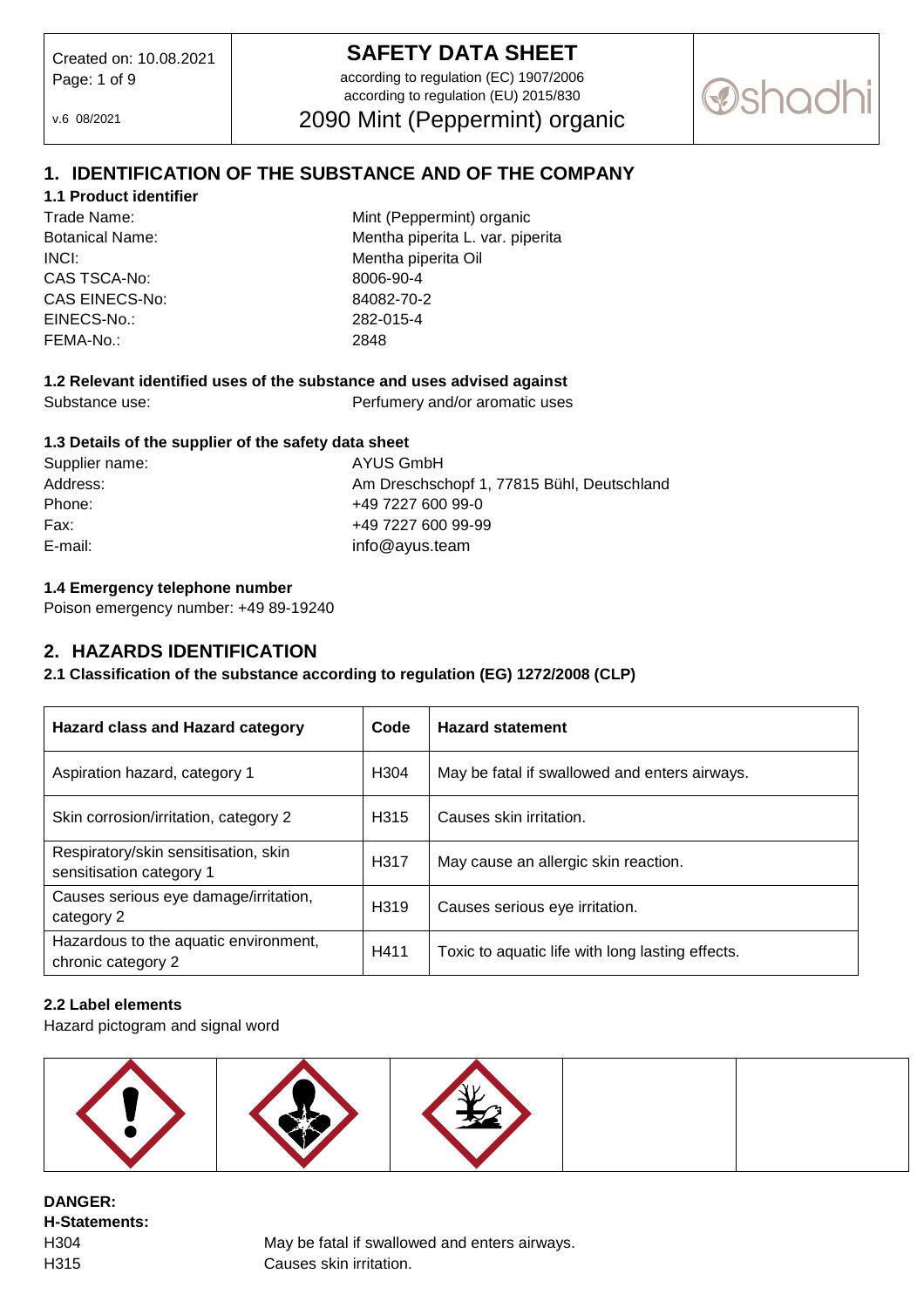# **SAFETY DATA SHEET**

according to regulation (EC) 1907/2006 according to regulation (EU) 2015/830

2090 Mint (Peppermint) organic

v.6 08/2021

**@shar** 

# **1. IDENTIFICATION OF THE SUBSTANCE AND OF THE COMPANY**

# **1.1 Product identifier**

INCI: Mentha piperita Oil CAS TSCA-No: 8006-90-4 CAS EINECS-No: 84082-70-2 EINECS-No.: 282-015-4 FEMA-No.: 2848

Trade Name: Trade Name: Mint (Peppermint) organic Botanical Name: Mentha piperita L. var. piperita

# **1.2 Relevant identified uses of the substance and uses advised against**

Substance use: Perfumery and/or aromatic uses

#### **1.3 Details of the supplier of the safety data sheet**

| Supplier name: |  |
|----------------|--|
| Address:       |  |
| Phone:         |  |
| Fax:           |  |
| E-mail:        |  |

**AYUS GmbH** Am Dreschschopf 1, 77815 Bühl, Deutschland +49 7227 600 99-0 +49 7227 600 99-99 info@avus.team

#### **1.4 Emergency telephone number**

Poison emergency number: +49 89-19240

# **2. HAZARDS IDENTIFICATION**

# **2.1 Classification of the substance according to regulation (EG) 1272/2008 (CLP)**

| <b>Hazard class and Hazard category</b>                          | Code             | <b>Hazard statement</b>                          |
|------------------------------------------------------------------|------------------|--------------------------------------------------|
| Aspiration hazard, category 1                                    | H <sub>304</sub> | May be fatal if swallowed and enters airways.    |
| Skin corrosion/irritation, category 2                            | H <sub>315</sub> | Causes skin irritation.                          |
| Respiratory/skin sensitisation, skin<br>sensitisation category 1 | H317             | May cause an allergic skin reaction.             |
| Causes serious eye damage/irritation,<br>category 2              | H <sub>319</sub> | Causes serious eye irritation.                   |
| Hazardous to the aquatic environment,<br>chronic category 2      | H411             | Toxic to aquatic life with long lasting effects. |

#### **2.2 Label elements**

Hazard pictogram and signal word



**DANGER: H-Statements:** 

H304 May be fatal if swallowed and enters airways. H315 Causes skin irritation.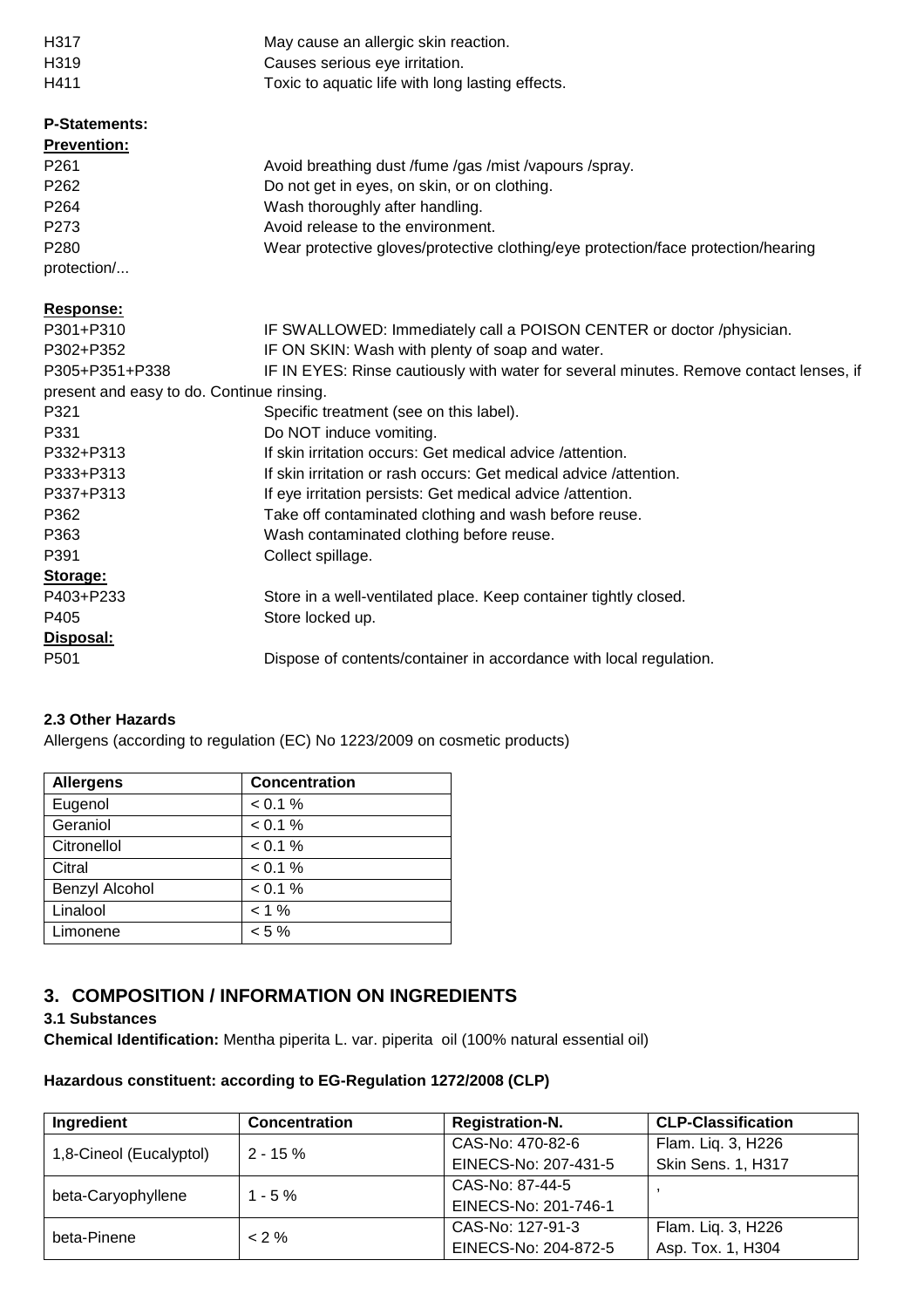| H317                                      | May cause an allergic skin reaction.                                                   |
|-------------------------------------------|----------------------------------------------------------------------------------------|
| H <sub>3</sub> 19                         | Causes serious eye irritation.                                                         |
| H411                                      | Toxic to aquatic life with long lasting effects.                                       |
| <b>P-Statements:</b>                      |                                                                                        |
| <b>Prevention:</b>                        |                                                                                        |
| P <sub>261</sub>                          | Avoid breathing dust /fume /gas /mist /vapours /spray.                                 |
| P <sub>262</sub>                          | Do not get in eyes, on skin, or on clothing.                                           |
| P <sub>264</sub>                          | Wash thoroughly after handling.                                                        |
| P273                                      | Avoid release to the environment.                                                      |
| P <sub>280</sub>                          | Wear protective gloves/protective clothing/eye protection/face protection/hearing      |
| protection/                               |                                                                                        |
| Response:                                 |                                                                                        |
| P301+P310                                 | IF SWALLOWED: Immediately call a POISON CENTER or doctor /physician.                   |
| P302+P352                                 | IF ON SKIN: Wash with plenty of soap and water.                                        |
| P305+P351+P338                            | IF IN EYES: Rinse cautiously with water for several minutes. Remove contact lenses, if |
| present and easy to do. Continue rinsing. |                                                                                        |
| P321                                      | Specific treatment (see on this label).                                                |
| P331                                      | Do NOT induce vomiting.                                                                |

#### **Ingredient Concentration Registration-N. CLP-Classification** 1,8-Cineol (Eucalyptol) 2 - 15 % CAS-No: 470-82-6 EINECS-No: 207-431-5 Flam. Liq. 3, H226 Skin Sens. 1, H317 beta-Caryophyllene 1 - 5 % CAS-No: 87-44-5 EINECS-No: 201-746-1 , beta-Pinene < 2 % CAS-No: 127-91-3 EINECS-No: 204-872-5 Flam. Liq. 3, H226 Asp. Tox. 1, H304

# **2.3 Other Hazards**

**Storage:** 

**Disposal:** 

Allergens (according to regulation (EC) No 1223/2009 on cosmetic products)

P332+P313 **If skin irritation occurs: Get medical advice /attention.** 

P337+P313 If eye irritation persists: Get medical advice /attention. P362 Take off contaminated clothing and wash before reuse.

P363 Wash contaminated clothing before reuse.

P391 Collect spillage.

P405 Store locked up.

P333+P313 If skin irritation or rash occurs: Get medical advice /attention.

P403+P233 Store in a well-ventilated place. Keep container tightly closed.

P501 Dispose of contents/container in accordance with local regulation.

| <b>Allergens</b> | <b>Concentration</b> |
|------------------|----------------------|
| Eugenol          | < 0.1 %              |
| Geraniol         | < 0.1 %              |
| Citronellol      | < 0.1 %              |
| Citral           | < 0.1 %              |
| Benzyl Alcohol   | < 0.1 %              |
| Linalool         | $< 1 \%$             |
| Limonene         | $< 5 \%$             |

# **3. COMPOSITION / INFORMATION ON INGREDIENTS**

#### **3.1 Substances**

**Chemical Identification:** Mentha piperita L. var. piperita oil (100% natural essential oil)

#### **Hazardous constituent: according to EG-Regulation 1272/2008 (CLP)**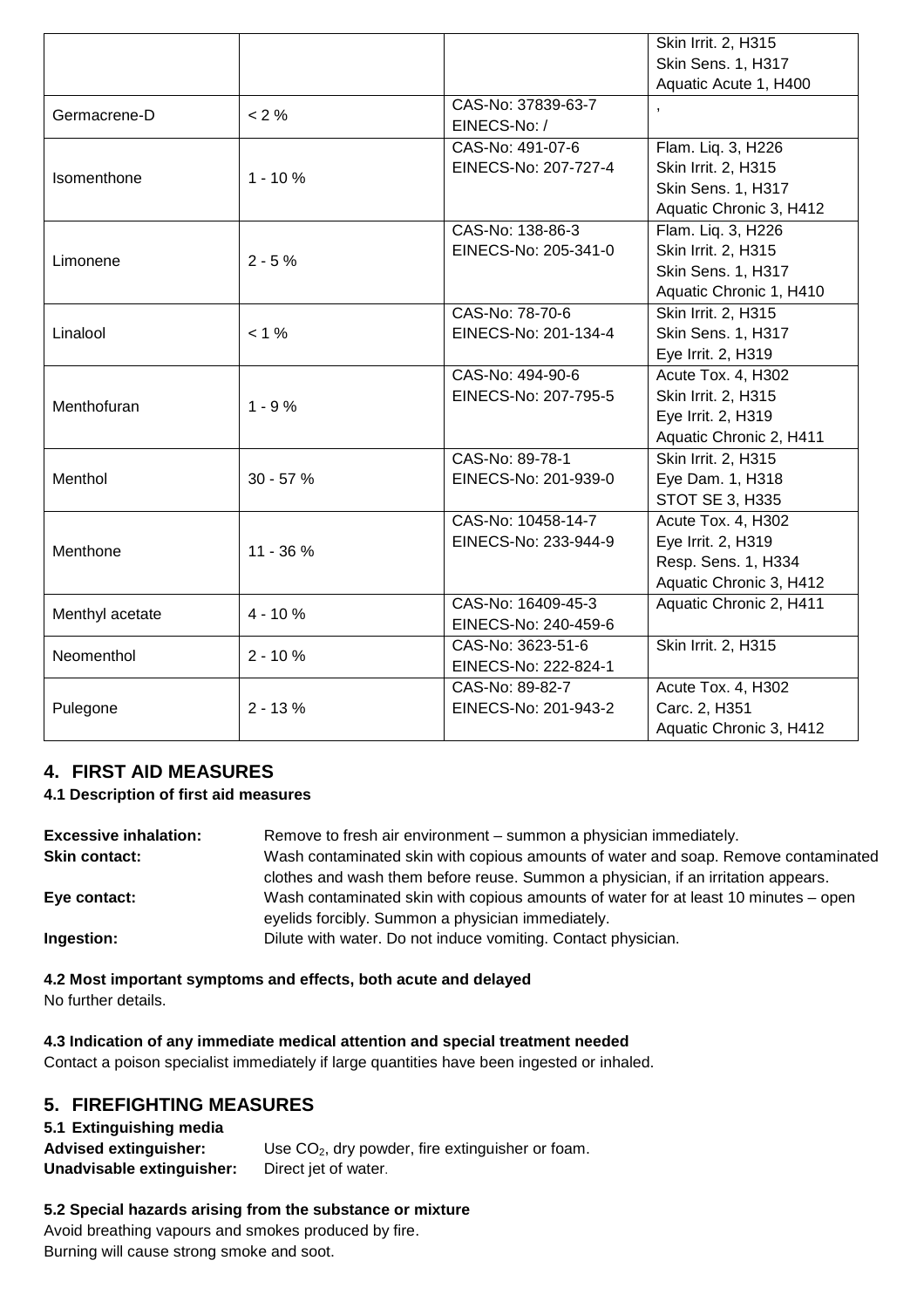|                 |             |                                    | Skin Irrit. 2, H315       |
|-----------------|-------------|------------------------------------|---------------------------|
|                 |             |                                    | Skin Sens. 1, H317        |
|                 |             |                                    | Aquatic Acute 1, H400     |
| Germacrene-D    | $< 2 \%$    | CAS-No: 37839-63-7<br>EINECS-No: / | $\overline{\phantom{a}}$  |
|                 |             | CAS-No: 491-07-6                   | Flam. Liq. 3, H226        |
|                 |             | EINECS-No: 207-727-4               | Skin Irrit. 2, H315       |
| Isomenthone     | $1 - 10%$   |                                    | Skin Sens. 1, H317        |
|                 |             |                                    | Aquatic Chronic 3, H412   |
|                 |             | CAS-No: 138-86-3                   | Flam. Liq. 3, H226        |
|                 |             | EINECS-No: 205-341-0               | Skin Irrit. 2, H315       |
| Limonene        | $2 - 5%$    |                                    | <b>Skin Sens. 1, H317</b> |
|                 |             |                                    |                           |
|                 |             |                                    | Aquatic Chronic 1, H410   |
|                 |             | CAS-No: 78-70-6                    | Skin Irrit. 2, H315       |
| Linalool        | $< 1 \%$    | EINECS-No: 201-134-4               | Skin Sens. 1, H317        |
|                 |             |                                    | Eye Irrit. 2, H319        |
|                 | $1 - 9%$    | CAS-No: 494-90-6                   | Acute Tox. 4, H302        |
| Menthofuran     |             | EINECS-No: 207-795-5               | Skin Irrit. 2, H315       |
|                 |             |                                    | Eye Irrit. 2, H319        |
|                 |             |                                    | Aquatic Chronic 2, H411   |
|                 | $30 - 57%$  | CAS-No: 89-78-1                    | Skin Irrit. 2, H315       |
| Menthol         |             | EINECS-No: 201-939-0               | Eye Dam. 1, H318          |
|                 |             |                                    | STOT SE 3, H335           |
|                 | $11 - 36 %$ | CAS-No: 10458-14-7                 | Acute Tox. 4, H302        |
|                 |             | EINECS-No: 233-944-9               | Eye Irrit. 2, H319        |
| Menthone        |             |                                    | Resp. Sens. 1, H334       |
|                 |             |                                    | Aquatic Chronic 3, H412   |
|                 |             | CAS-No: 16409-45-3                 | Aquatic Chronic 2, H411   |
| Menthyl acetate | $4 - 10%$   | EINECS-No: 240-459-6               |                           |
| Neomenthol      |             | CAS-No: 3623-51-6                  | Skin Irrit. 2, H315       |
|                 | $2 - 10%$   | EINECS-No: 222-824-1               |                           |
|                 |             | CAS-No: 89-82-7                    | Acute Tox. 4, H302        |
|                 | $2 - 13%$   | EINECS-No: 201-943-2               | Carc. 2, H351             |
| Pulegone        |             |                                    |                           |
|                 |             |                                    | Aquatic Chronic 3, H412   |

# **4. FIRST AID MEASURES**

# **4.1 Description of first aid measures**

| <b>Excessive inhalation:</b> | Remove to fresh air environment – summon a physician immediately.                   |
|------------------------------|-------------------------------------------------------------------------------------|
| <b>Skin contact:</b>         | Wash contaminated skin with copious amounts of water and soap. Remove contaminated  |
|                              | clothes and wash them before reuse. Summon a physician, if an irritation appears.   |
| Eye contact:                 | Wash contaminated skin with copious amounts of water for at least 10 minutes – open |
|                              | eyelids forcibly. Summon a physician immediately.                                   |
| Ingestion:                   | Dilute with water. Do not induce vomiting. Contact physician.                       |

# **4.2 Most important symptoms and effects, both acute and delayed**

No further details.

#### **4.3 Indication of any immediate medical attention and special treatment needed**

Contact a poison specialist immediately if large quantities have been ingested or inhaled.

# **5. FIREFIGHTING MEASURES**

# **5.1 Extinguishing media**  Advised extinguisher: Use CO<sub>2</sub>, dry powder, fire extinguisher or foam. **Unadvisable extinguisher:** Direct jet of water.

# **5.2 Special hazards arising from the substance or mixture**

Avoid breathing vapours and smokes produced by fire. Burning will cause strong smoke and soot.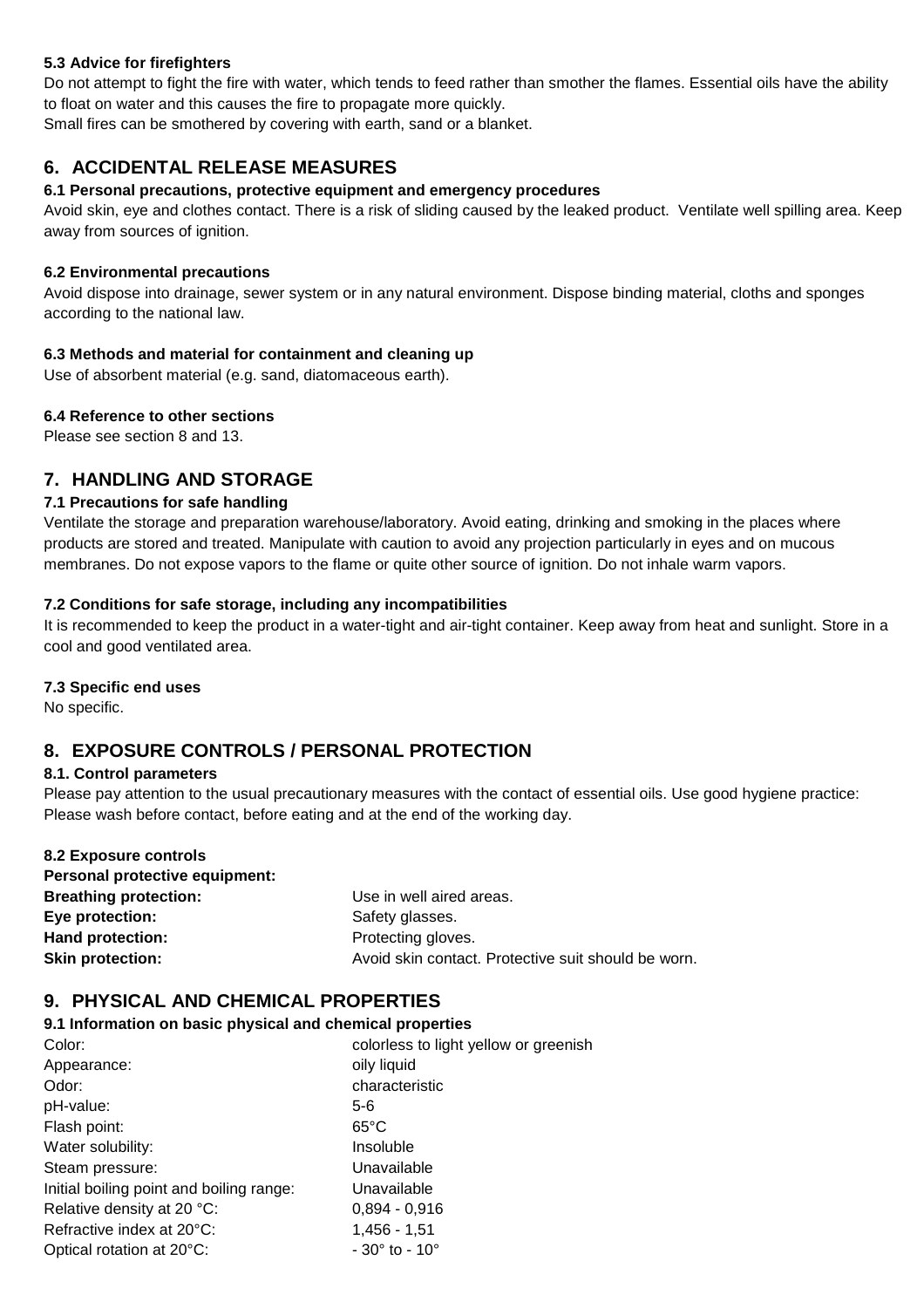#### **5.3 Advice for firefighters**

Do not attempt to fight the fire with water, which tends to feed rather than smother the flames. Essential oils have the ability to float on water and this causes the fire to propagate more quickly.

Small fires can be smothered by covering with earth, sand or a blanket.

# **6. ACCIDENTAL RELEASE MEASURES**

#### **6.1 Personal precautions, protective equipment and emergency procedures**

Avoid skin, eye and clothes contact. There is a risk of sliding caused by the leaked product. Ventilate well spilling area. Keep away from sources of ignition.

#### **6.2 Environmental precautions**

Avoid dispose into drainage, sewer system or in any natural environment. Dispose binding material, cloths and sponges according to the national law.

#### **6.3 Methods and material for containment and cleaning up**

Use of absorbent material (e.g. sand, diatomaceous earth).

#### **6.4 Reference to other sections**

Please see section 8 and 13.

# **7. HANDLING AND STORAGE**

#### **7.1 Precautions for safe handling**

Ventilate the storage and preparation warehouse/laboratory. Avoid eating, drinking and smoking in the places where products are stored and treated. Manipulate with caution to avoid any projection particularly in eyes and on mucous membranes. Do not expose vapors to the flame or quite other source of ignition. Do not inhale warm vapors.

#### **7.2 Conditions for safe storage, including any incompatibilities**

It is recommended to keep the product in a water-tight and air-tight container. Keep away from heat and sunlight. Store in a cool and good ventilated area.

#### **7.3 Specific end uses**

No specific.

# **8. EXPOSURE CONTROLS / PERSONAL PROTECTION**

#### **8.1. Control parameters**

Please pay attention to the usual precautionary measures with the contact of essential oils. Use good hygiene practice: Please wash before contact, before eating and at the end of the working day.

| 8.2 Exposure controls          |                                                     |
|--------------------------------|-----------------------------------------------------|
| Personal protective equipment: |                                                     |
| <b>Breathing protection:</b>   | Use in well aired areas.                            |
| Eye protection:                | Safety glasses.                                     |
| Hand protection:               | Protecting gloves.                                  |
| <b>Skin protection:</b>        | Avoid skin contact. Protective suit should be worn. |

# **9. PHYSICAL AND CHEMICAL PROPERTIES**

#### **9.1 Information on basic physical and chemical properties**

| Color:                                   | colorless to light yellow or greenish |
|------------------------------------------|---------------------------------------|
| Appearance:                              | oily liquid                           |
| Odor:                                    | characteristic                        |
| pH-value:                                | $5-6$                                 |
| Flash point:                             | $65^{\circ}$ C                        |
| Water solubility:                        | Insoluble                             |
| Steam pressure:                          | Unavailable                           |
| Initial boiling point and boiling range: | Unavailable                           |
| Relative density at 20 °C:               | $0,894 - 0,916$                       |
| Refractive index at 20°C:                | $1,456 - 1,51$                        |
| Optical rotation at 20°C:                | $-30^{\circ}$ to $-10^{\circ}$        |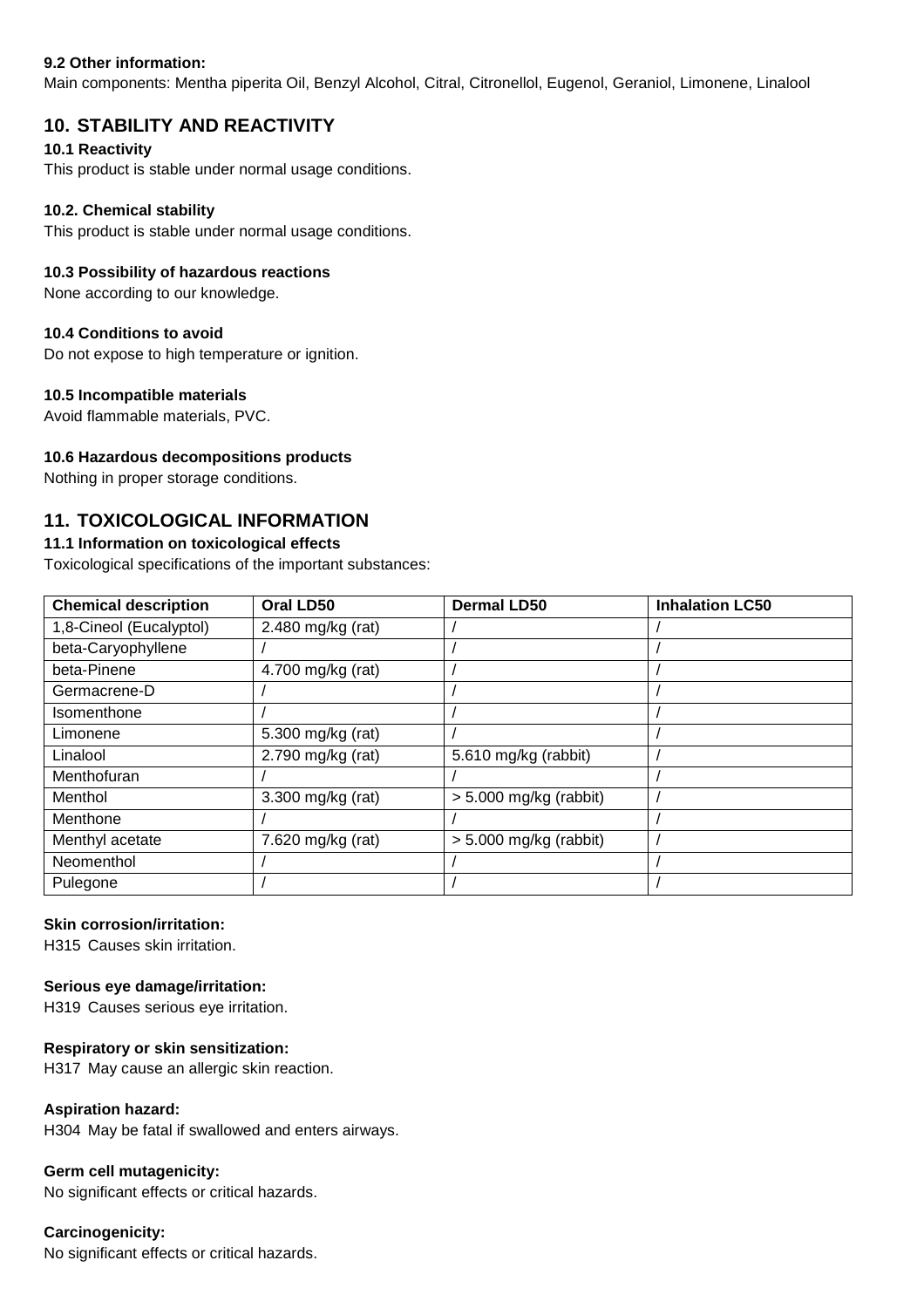#### **9.2 Other information:**

Main components: Mentha piperita Oil, Benzyl Alcohol, Citral, Citronellol, Eugenol, Geraniol, Limonene, Linalool

# **10. STABILITY AND REACTIVITY**

#### **10.1 Reactivity**

This product is stable under normal usage conditions.

#### **10.2. Chemical stability**

This product is stable under normal usage conditions.

#### **10.3 Possibility of hazardous reactions**

None according to our knowledge.

#### **10.4 Conditions to avoid**

Do not expose to high temperature or ignition.

#### **10.5 Incompatible materials**

Avoid flammable materials, PVC.

#### **10.6 Hazardous decompositions products**

Nothing in proper storage conditions.

# **11. TOXICOLOGICAL INFORMATION**

#### **11.1 Information on toxicological effects**

Toxicological specifications of the important substances:

| <b>Chemical description</b> | Oral LD50         | <b>Dermal LD50</b>       | <b>Inhalation LC50</b> |
|-----------------------------|-------------------|--------------------------|------------------------|
| 1,8-Cineol (Eucalyptol)     | 2.480 mg/kg (rat) |                          |                        |
| beta-Caryophyllene          |                   |                          |                        |
| beta-Pinene                 | 4.700 mg/kg (rat) |                          |                        |
| Germacrene-D                |                   |                          |                        |
| Isomenthone                 |                   |                          |                        |
| Limonene                    | 5.300 mg/kg (rat) |                          |                        |
| Linalool                    | 2.790 mg/kg (rat) | 5.610 mg/kg (rabbit)     |                        |
| Menthofuran                 |                   |                          |                        |
| Menthol                     | 3.300 mg/kg (rat) | $> 5.000$ mg/kg (rabbit) |                        |
| Menthone                    |                   |                          |                        |
| Menthyl acetate             | 7.620 mg/kg (rat) | $> 5.000$ mg/kg (rabbit) |                        |
| Neomenthol                  |                   |                          |                        |
| Pulegone                    |                   |                          |                        |

#### **Skin corrosion/irritation:**

H315 Causes skin irritation.

#### **Serious eye damage/irritation:**

H319 Causes serious eye irritation.

#### **Respiratory or skin sensitization:**

H317 May cause an allergic skin reaction.

#### **Aspiration hazard:**

H304 May be fatal if swallowed and enters airways.

#### **Germ cell mutagenicity:**

No significant effects or critical hazards.

#### **Carcinogenicity:**

No significant effects or critical hazards.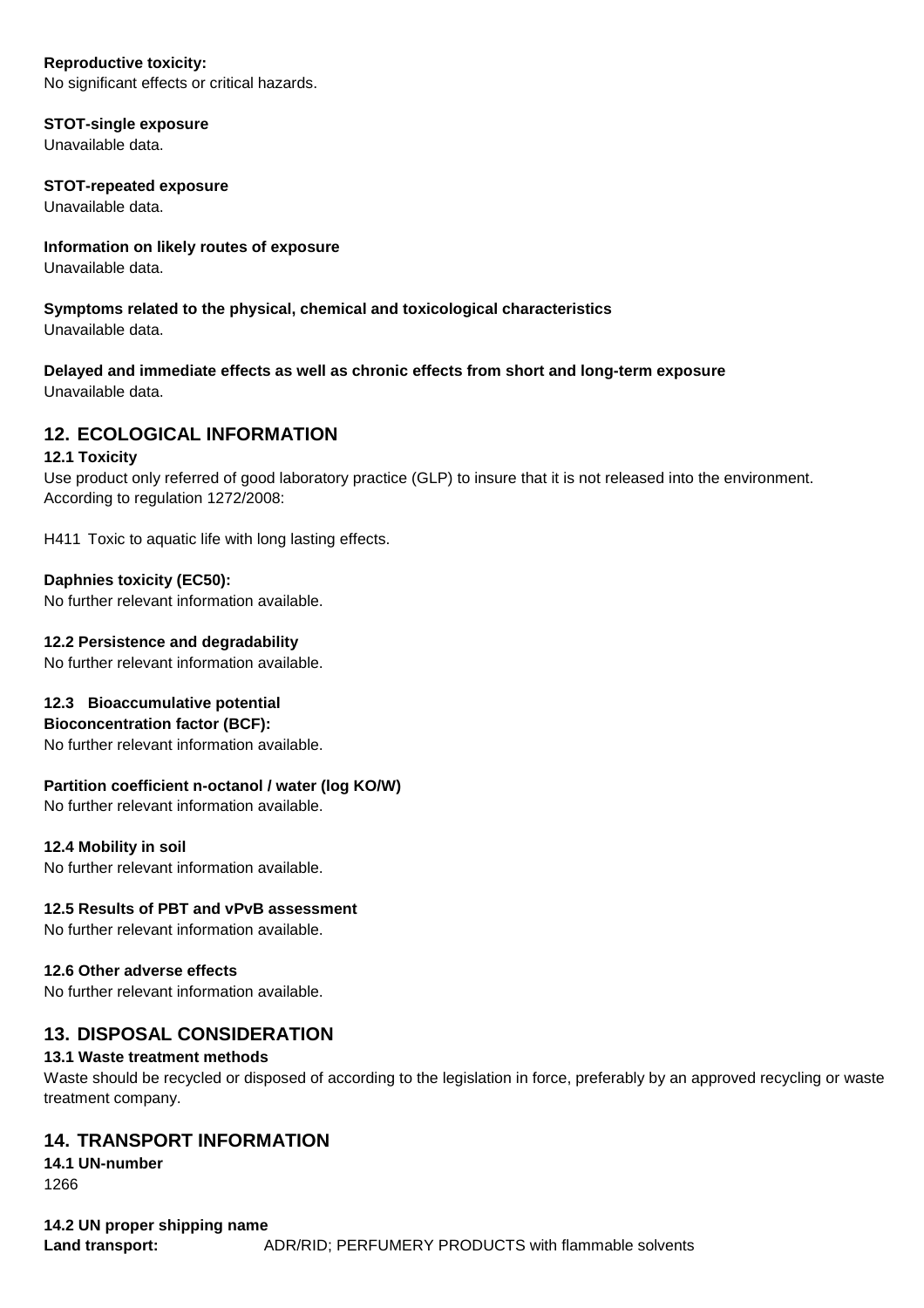#### **Reproductive toxicity:**

No significant effects or critical hazards.

#### **STOT-single exposure**

Unavailable data.

#### **STOT-repeated exposure**

Unavailable data.

# **Information on likely routes of exposure**

Unavailable data.

#### **Symptoms related to the physical, chemical and toxicological characteristics**  Unavailable data.

# **Delayed and immediate effects as well as chronic effects from short and long-term exposure**

Unavailable data.

# **12. ECOLOGICAL INFORMATION**

#### **12.1 Toxicity**

Use product only referred of good laboratory practice (GLP) to insure that it is not released into the environment. According to regulation 1272/2008:

H411 Toxic to aquatic life with long lasting effects.

# **Daphnies toxicity (EC50):**

No further relevant information available.

#### **12.2 Persistence and degradability**

No further relevant information available.

# **12.3 Bioaccumulative potential**

**Bioconcentration factor (BCF):** 

No further relevant information available.

# **Partition coefficient n-octanol / water (log KO/W)**

No further relevant information available.

# **12.4 Mobility in soil**

No further relevant information available.

# **12.5 Results of PBT and vPvB assessment**

No further relevant information available.

#### **12.6 Other adverse effects**

No further relevant information available.

# **13. DISPOSAL CONSIDERATION**

# **13.1 Waste treatment methods**

Waste should be recycled or disposed of according to the legislation in force, preferably by an approved recycling or waste treatment company.

# **14. TRANSPORT INFORMATION**

**14.1 UN-number**  1266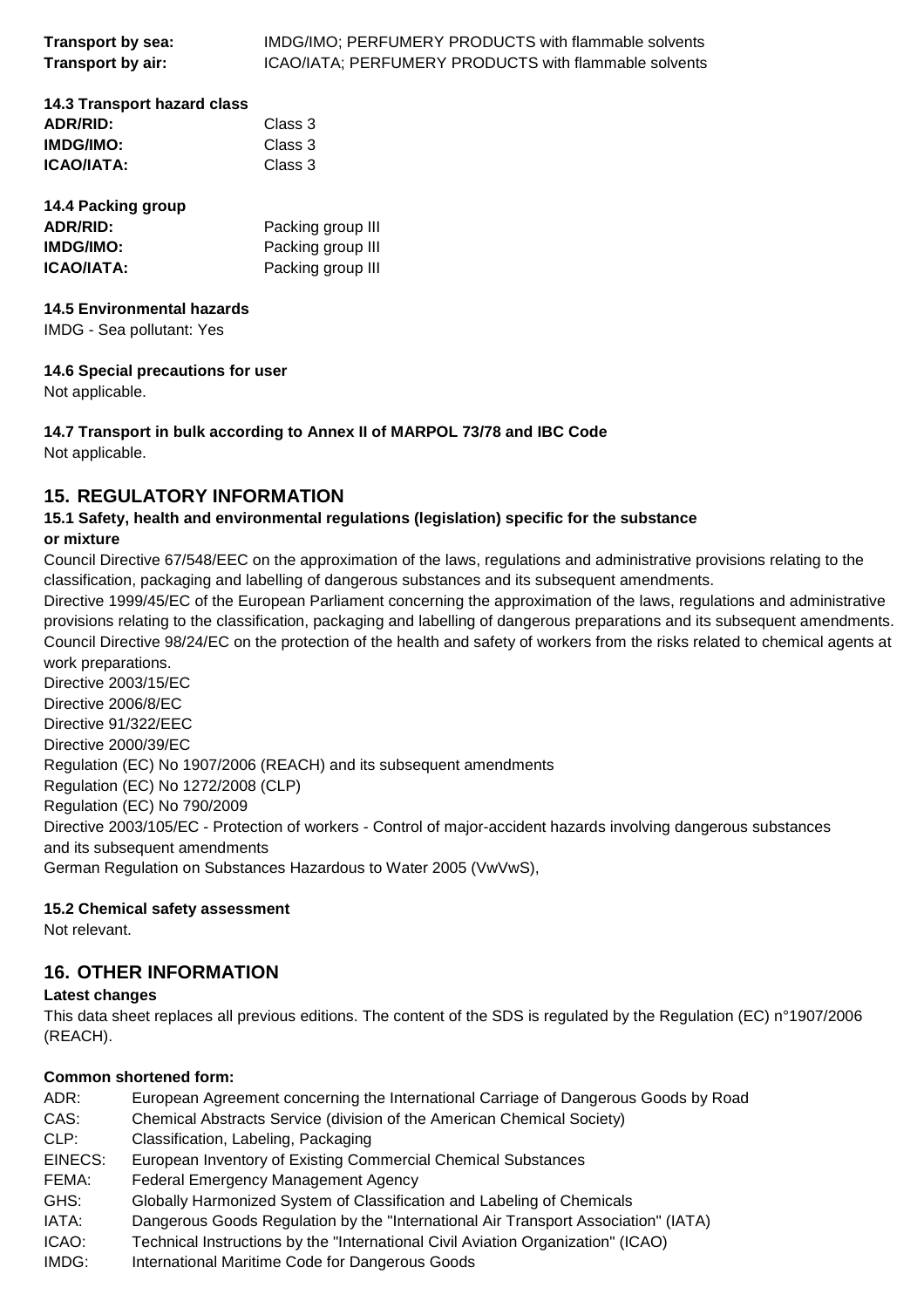| Transport by sea: | IMDG/IMO; PERFUMERY PRODUCTS with flammable solvents  |
|-------------------|-------------------------------------------------------|
| Transport by air: | ICAO/IATA; PERFUMERY PRODUCTS with flammable solvents |

| 14.3 Transport hazard class |         |
|-----------------------------|---------|
| <b>ADR/RID:</b>             | Class 3 |
| <b>IMDG/IMO:</b>            | Class 3 |
| <b>ICAO/IATA:</b>           | Class 3 |
|                             |         |

| 14.4 Packing group |                   |
|--------------------|-------------------|
| ADR/RID:           | Packing group III |
| IMDG/IMO:          | Packing group III |
| ICAO/IATA:         | Packing group III |

# **14.5 Environmental hazards**

IMDG - Sea pollutant: Yes

#### **14.6 Special precautions for user**

Not applicable.

# **14.7 Transport in bulk according to Annex II of MARPOL 73/78 and IBC Code**

Not applicable.

# **15. REGULATORY INFORMATION**

# **15.1 Safety, health and environmental regulations (legislation) specific for the substance or mixture**

Council Directive 67/548/EEC on the approximation of the laws, regulations and administrative provisions relating to the classification, packaging and labelling of dangerous substances and its subsequent amendments.

Directive 1999/45/EC of the European Parliament concerning the approximation of the laws, regulations and administrative provisions relating to the classification, packaging and labelling of dangerous preparations and its subsequent amendments. Council Directive 98/24/EC on the protection of the health and safety of workers from the risks related to chemical agents at work preparations.

Directive 2003/15/EC Directive 2006/8/EC Directive 91/322/EEC Directive 2000/39/EC Regulation (EC) No 1907/2006 (REACH) and its subsequent amendments Regulation (EC) No 1272/2008 (CLP) Regulation (EC) No 790/2009 Directive 2003/105/EC - Protection of workers - Control of major-accident hazards involving dangerous substances and its subsequent amendments German Regulation on Substances Hazardous to Water 2005 (VwVwS),

# **15.2 Chemical safety assessment**

Not relevant.

# **16. OTHER INFORMATION**

# **Latest changes**

This data sheet replaces all previous editions. The content of the SDS is regulated by the Regulation (EC) n°1907/2006 (REACH).

# **Common shortened form:**

| ADR:    | European Agreement concerning the International Carriage of Dangerous Goods by Road |
|---------|-------------------------------------------------------------------------------------|
| CAS:    | Chemical Abstracts Service (division of the American Chemical Society)              |
| CLP:    | Classification, Labeling, Packaging                                                 |
| EINECS: | European Inventory of Existing Commercial Chemical Substances                       |
| FEMA:   | <b>Federal Emergency Management Agency</b>                                          |
| GHS:    | Globally Harmonized System of Classification and Labeling of Chemicals              |
| IATA:   | Dangerous Goods Regulation by the "International Air Transport Association" (IATA)  |
| ICAO:   | Technical Instructions by the "International Civil Aviation Organization" (ICAO)    |
| IMDG:   | International Maritime Code for Dangerous Goods                                     |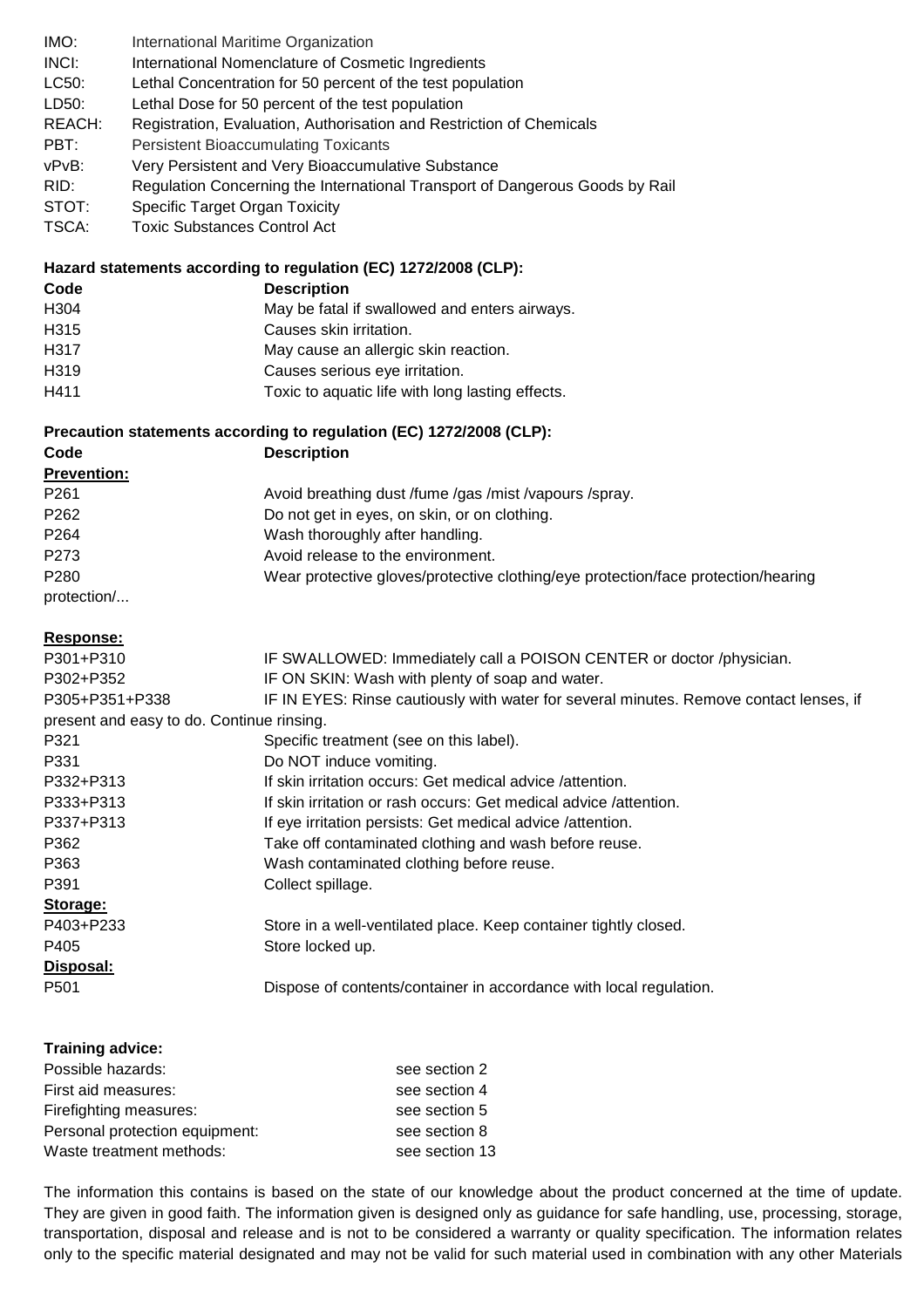| IMO:   | International Maritime Organization                                          |
|--------|------------------------------------------------------------------------------|
| INCI:  | International Nomenclature of Cosmetic Ingredients                           |
| LC50:  | Lethal Concentration for 50 percent of the test population                   |
| LD50:  | Lethal Dose for 50 percent of the test population                            |
| REACH: | Registration, Evaluation, Authorisation and Restriction of Chemicals         |
| PBT:   | <b>Persistent Bioaccumulating Toxicants</b>                                  |
| vPvB:  | Very Persistent and Very Bioaccumulative Substance                           |
| RID:   | Regulation Concerning the International Transport of Dangerous Goods by Rail |
| STOT:  | <b>Specific Target Organ Toxicity</b>                                        |

TSCA: Toxic Substances Control Act

# **Hazard statements according to regulation (EC) 1272/2008 (CLP):**

| Code             | <b>Description</b>                               |
|------------------|--------------------------------------------------|
| H <sub>304</sub> | May be fatal if swallowed and enters airways.    |
| H315             | Causes skin irritation.                          |
| H317             | May cause an allergic skin reaction.             |
| H319             | Causes serious eye irritation.                   |
| H411             | Toxic to aquatic life with long lasting effects. |

# **Precaution statements according to regulation (EC) 1272/2008 (CLP):**

| <b>The common statements abooranig to regulation (EO)</b> TETHEOOO (OET). |                                                                                   |  |  |  |
|---------------------------------------------------------------------------|-----------------------------------------------------------------------------------|--|--|--|
| Code                                                                      | <b>Description</b>                                                                |  |  |  |
| <b>Prevention:</b>                                                        |                                                                                   |  |  |  |
| P <sub>261</sub>                                                          | Avoid breathing dust /fume /gas /mist /vapours /spray.                            |  |  |  |
| P <sub>262</sub>                                                          | Do not get in eyes, on skin, or on clothing.                                      |  |  |  |
| P <sub>264</sub>                                                          | Wash thoroughly after handling.                                                   |  |  |  |
| P <sub>273</sub>                                                          | Avoid release to the environment.                                                 |  |  |  |
| P <sub>280</sub>                                                          | Wear protective gloves/protective clothing/eye protection/face protection/hearing |  |  |  |
| protection/                                                               |                                                                                   |  |  |  |

#### **Response:**

| . <b>.</b>                                |                                                                                        |
|-------------------------------------------|----------------------------------------------------------------------------------------|
| P301+P310                                 | IF SWALLOWED: Immediately call a POISON CENTER or doctor /physician.                   |
| P302+P352                                 | IF ON SKIN: Wash with plenty of soap and water.                                        |
| P305+P351+P338                            | IF IN EYES: Rinse cautiously with water for several minutes. Remove contact lenses, if |
| present and easy to do. Continue rinsing. |                                                                                        |
| P321                                      | Specific treatment (see on this label).                                                |
| P331                                      | Do NOT induce vomiting.                                                                |
| P332+P313                                 | If skin irritation occurs: Get medical advice /attention.                              |
| P333+P313                                 | If skin irritation or rash occurs: Get medical advice /attention.                      |
| P337+P313                                 | If eye irritation persists: Get medical advice /attention.                             |
| P362                                      | Take off contaminated clothing and wash before reuse.                                  |
| P363                                      | Wash contaminated clothing before reuse.                                               |
| P391                                      | Collect spillage.                                                                      |
| Storage:                                  |                                                                                        |
| P403+P233                                 | Store in a well-ventilated place. Keep container tightly closed.                       |
| P405                                      | Store locked up.                                                                       |
| Disposal:                                 |                                                                                        |
| P <sub>501</sub>                          | Dispose of contents/container in accordance with local regulation.                     |
|                                           |                                                                                        |
|                                           |                                                                                        |

| Training advice:               |                |
|--------------------------------|----------------|
| Possible hazards:              | see section 2  |
| First aid measures:            | see section 4  |
| Firefighting measures:         | see section 5  |
| Personal protection equipment: | see section 8  |
| Waste treatment methods:       | see section 13 |

The information this contains is based on the state of our knowledge about the product concerned at the time of update. They are given in good faith. The information given is designed only as guidance for safe handling, use, processing, storage, transportation, disposal and release and is not to be considered a warranty or quality specification. The information relates only to the specific material designated and may not be valid for such material used in combination with any other Materials